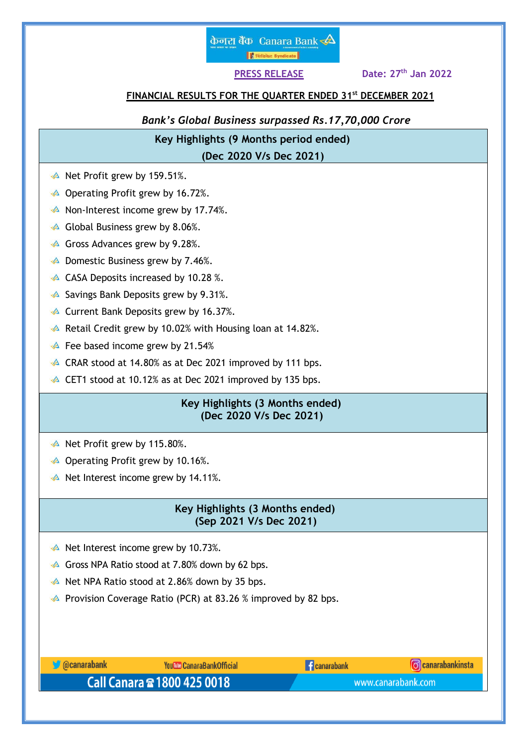

**PRESS RELEASE Date: 27th Jan 2022**

## **FINANCIAL RESULTS FOR THE QUARTER ENDED 31st DECEMBER 2021**

*Bank's Global Business surpassed Rs.17,70,000 Crore*

 **Key Highlights (9 Months period ended) (Dec 2020 V/s Dec 2021)**

- $\triangle$  Net Profit grew by 159.51%.
- $\triangle$  Operating Profit grew by 16.72%.
- $\triangle$  Non-Interest income grew by 17.74%.
- $\triangle$  Global Business grew by 8.06%.
- $\triangle$  Gross Advances grew by 9.28%.
- $\triangle$  Domestic Business grew by 7.46%.
- $\triangle$  CASA Deposits increased by 10.28 %.
- $\triangle$  Savings Bank Deposits grew by 9.31%.
- **A** Current Bank Deposits grew by 16.37%.
- Retail Credit grew by 10.02% with Housing loan at 14.82%.
- $\triangle$  Fee based income grew by 21.54%
- $\triangle$  CRAR stood at 14.80% as at Dec 2021 improved by 111 bps.
- CET1 stood at 10.12% as at Dec 2021 improved by 135 bps.

## **Key Highlights (3 Months ended) (Dec 2020 V/s Dec 2021)**

- $\triangle$  Net Profit grew by 115.80%.
- $\triangle$  Operating Profit grew by 10.16%.
- $\triangle$  Net Interest income grew by 14.11%.

# **Key Highlights (3 Months ended) (Sep 2021 V/s Dec 2021)**

- $\triangle$  Net Interest income grew by 10.73%.
- $\triangle$  Gross NPA Ratio stood at 7.80% down by 62 bps.
- Net NPA Ratio stood at 2.86% down by 35 bps.
- **Provision Coverage Ratio (PCR) at 83.26 % improved by 82 bps.**

| <b>Ocanarabank</b>          | <b>You We CanaraBank Official</b> | <b>Canarabank</b> | <b>C</b> canarabankinsta |  |
|-----------------------------|-----------------------------------|-------------------|--------------------------|--|
| Call Canara 2 1800 425 0018 |                                   |                   | www.canarabank.com       |  |